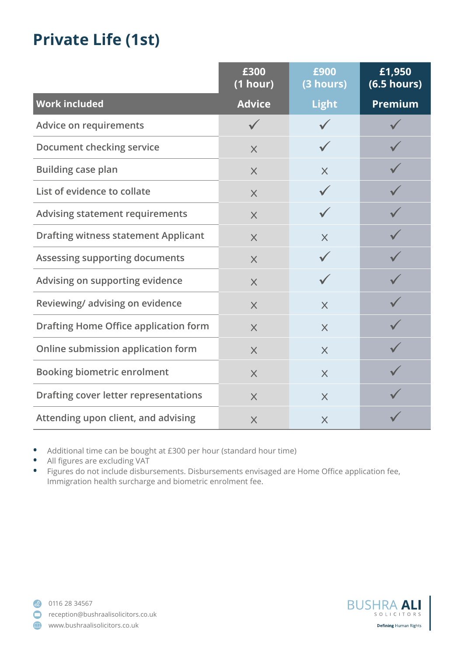## **Private Life (1st)**

|                                              | £300<br>$(1$ hour) | £900<br>(3 hours) | £1,950<br>(6.5 hours) |
|----------------------------------------------|--------------------|-------------------|-----------------------|
| <b>Work included</b>                         | <b>Advice</b>      | <b>Light</b>      | Premium               |
| <b>Advice on requirements</b>                |                    |                   |                       |
| Document checking service                    | $\times$           |                   |                       |
| <b>Building case plan</b>                    | $\times$           | $\times$          |                       |
| List of evidence to collate                  | $\times$           |                   |                       |
| <b>Advising statement requirements</b>       | $\times$           |                   |                       |
| <b>Drafting witness statement Applicant</b>  | $\times$           | $\times$          |                       |
| Assessing supporting documents               | $\times$           |                   |                       |
| Advising on supporting evidence              | $\times$           |                   |                       |
| Reviewing/advising on evidence               | $\times$           | $\times$          |                       |
| <b>Drafting Home Office application form</b> | $\times$           | $\times$          |                       |
| Online submission application form           | $\times$           | $\times$          |                       |
| <b>Booking biometric enrolment</b>           | $\times$           | $\times$          |                       |
| Drafting cover letter representations        | $\times$           | $\times$          |                       |
| Attending upon client, and advising          | $\times$           | $\times$          |                       |

- **•** Additional time can be bought at £300 per hour (standard hour time)
- **•** All figures are excluding VAT

**•** Figures do not include disbursements. Disbursements envisaged are Home Office application fee, Immigration health surcharge and biometric enrolment fee.